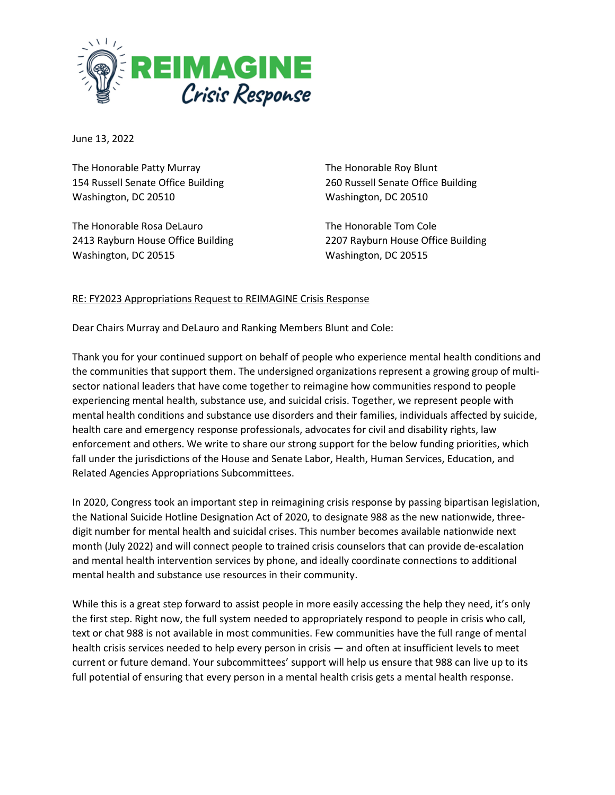

June 13, 2022

The Honorable Patty Murray 154 Russell Senate Office Building Washington, DC 20510

The Honorable Rosa DeLauro 2413 Rayburn House Office Building Washington, DC 20515

The Honorable Roy Blunt 260 Russell Senate Office Building Washington, DC 20510

The Honorable Tom Cole 2207 Rayburn House Office Building Washington, DC 20515

## RE: FY2023 Appropriations Request to REIMAGINE Crisis Response

Dear Chairs Murray and DeLauro and Ranking Members Blunt and Cole:

Thank you for your continued support on behalf of people who experience mental health conditions and the communities that support them. The undersigned organizations represent a growing group of multisector national leaders that have come together to reimagine how communities respond to people experiencing mental health, substance use, and suicidal crisis. Together, we represent people with mental health conditions and substance use disorders and their families, individuals affected by suicide, health care and emergency response professionals, advocates for civil and disability rights, law enforcement and others. We write to share our strong support for the below funding priorities, which fall under the jurisdictions of the House and Senate Labor, Health, Human Services, Education, and Related Agencies Appropriations Subcommittees.

In 2020, Congress took an important step in reimagining crisis response by passing bipartisan legislation, the National Suicide Hotline Designation Act of 2020, to designate 988 as the new nationwide, threedigit number for mental health and suicidal crises. This number becomes available nationwide next month (July 2022) and will connect people to trained crisis counselors that can provide de-escalation and mental health intervention services by phone, and ideally coordinate connections to additional mental health and substance use resources in their community.

While this is a great step forward to assist people in more easily accessing the help they need, it's only the first step. Right now, the full system needed to appropriately respond to people in crisis who call, text or chat 988 is not available in most communities. Few communities have the full range of mental health crisis services needed to help every person in crisis — and often at insufficient levels to meet current or future demand. Your subcommittees' support will help us ensure that 988 can live up to its full potential of ensuring that every person in a mental health crisis gets a mental health response.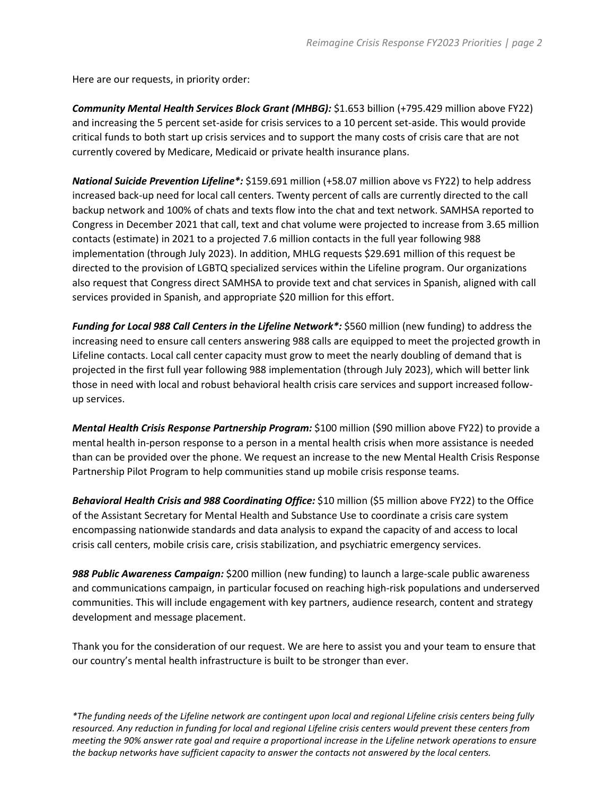Here are our requests, in priority order:

*Community Mental Health Services Block Grant (MHBG):* \$1.653 billion (+795.429 million above FY22) and increasing the 5 percent set-aside for crisis services to a 10 percent set-aside. This would provide critical funds to both start up crisis services and to support the many costs of crisis care that are not currently covered by Medicare, Medicaid or private health insurance plans.

*National Suicide Prevention Lifeline\*:* \$159.691 million (+58.07 million above vs FY22) to help address increased back-up need for local call centers. Twenty percent of calls are currently directed to the call backup network and 100% of chats and texts flow into the chat and text network. SAMHSA reported to Congress in December 2021 that call, text and chat volume were projected to increase from 3.65 million contacts (estimate) in 2021 to a projected 7.6 million contacts in the full year following 988 implementation (through July 2023). In addition, MHLG requests \$29.691 million of this request be directed to the provision of LGBTQ specialized services within the Lifeline program. Our organizations also request that Congress direct SAMHSA to provide text and chat services in Spanish, aligned with call services provided in Spanish, and appropriate \$20 million for this effort.

*Funding for Local 988 Call Centers in the Lifeline Network\*:* \$560 million (new funding) to address the increasing need to ensure call centers answering 988 calls are equipped to meet the projected growth in Lifeline contacts. Local call center capacity must grow to meet the nearly doubling of demand that is projected in the first full year following 988 implementation (through July 2023), which will better link those in need with local and robust behavioral health crisis care services and support increased followup services.

*Mental Health Crisis Response Partnership Program:* \$100 million (\$90 million above FY22) to provide a mental health in-person response to a person in a mental health crisis when more assistance is needed than can be provided over the phone. We request an increase to the new Mental Health Crisis Response Partnership Pilot Program to help communities stand up mobile crisis response teams.

*Behavioral Health Crisis and 988 Coordinating Office:* \$10 million (\$5 million above FY22) to the Office of the Assistant Secretary for Mental Health and Substance Use to coordinate a crisis care system encompassing nationwide standards and data analysis to expand the capacity of and access to local crisis call centers, mobile crisis care, crisis stabilization, and psychiatric emergency services.

*988 Public Awareness Campaign:* \$200 million (new funding) to launch a large-scale public awareness and communications campaign, in particular focused on reaching high-risk populations and underserved communities. This will include engagement with key partners, audience research, content and strategy development and message placement.

Thank you for the consideration of our request. We are here to assist you and your team to ensure that our country's mental health infrastructure is built to be stronger than ever.

*\*The funding needs of the Lifeline network are contingent upon local and regional Lifeline crisis centers being fully resourced. Any reduction in funding for local and regional Lifeline crisis centers would prevent these centers from meeting the 90% answer rate goal and require a proportional increase in the Lifeline network operations to ensure the backup networks have sufficient capacity to answer the contacts not answered by the local centers.*